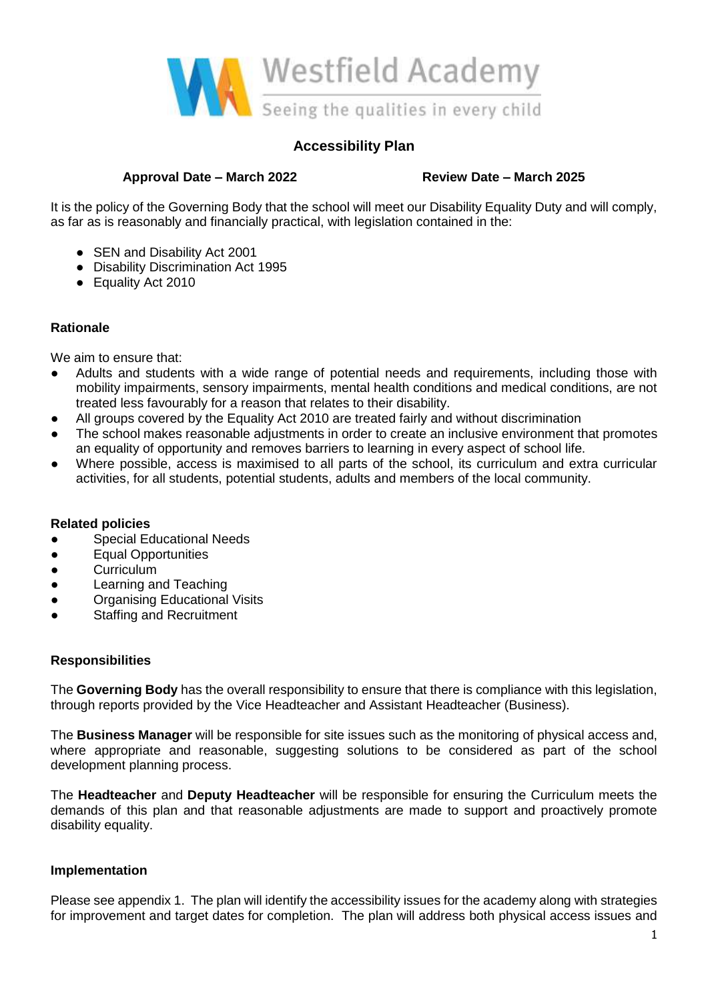

## **Accessibility Plan**

### **Approval Date – March 2022 Review Date – March 2025**

It is the policy of the Governing Body that the school will meet our Disability Equality Duty and will comply, as far as is reasonably and financially practical, with legislation contained in the:

- SEN and Disability Act 2001
- Disability Discrimination Act 1995
- Equality Act 2010

### **Rationale**

We aim to ensure that:

- Adults and students with a wide range of potential needs and requirements, including those with mobility impairments, sensory impairments, mental health conditions and medical conditions, are not treated less favourably for a reason that relates to their disability.
- All groups covered by the Equality Act 2010 are treated fairly and without discrimination
- The school makes reasonable adjustments in order to create an inclusive environment that promotes an equality of opportunity and removes barriers to learning in every aspect of school life.
- Where possible, access is maximised to all parts of the school, its curriculum and extra curricular activities, for all students, potential students, adults and members of the local community.

#### **Related policies**

- Special Educational Needs
- Equal Opportunities
- Curriculum
- Learning and Teaching
- Organising Educational Visits
- Staffing and Recruitment

#### **Responsibilities**

The **Governing Body** has the overall responsibility to ensure that there is compliance with this legislation, through reports provided by the Vice Headteacher and Assistant Headteacher (Business).

The **Business Manager** will be responsible for site issues such as the monitoring of physical access and, where appropriate and reasonable, suggesting solutions to be considered as part of the school development planning process.

The **Headteacher** and **Deputy Headteacher** will be responsible for ensuring the Curriculum meets the demands of this plan and that reasonable adjustments are made to support and proactively promote disability equality.

#### **Implementation**

Please see appendix 1. The plan will identify the accessibility issues for the academy along with strategies for improvement and target dates for completion. The plan will address both physical access issues and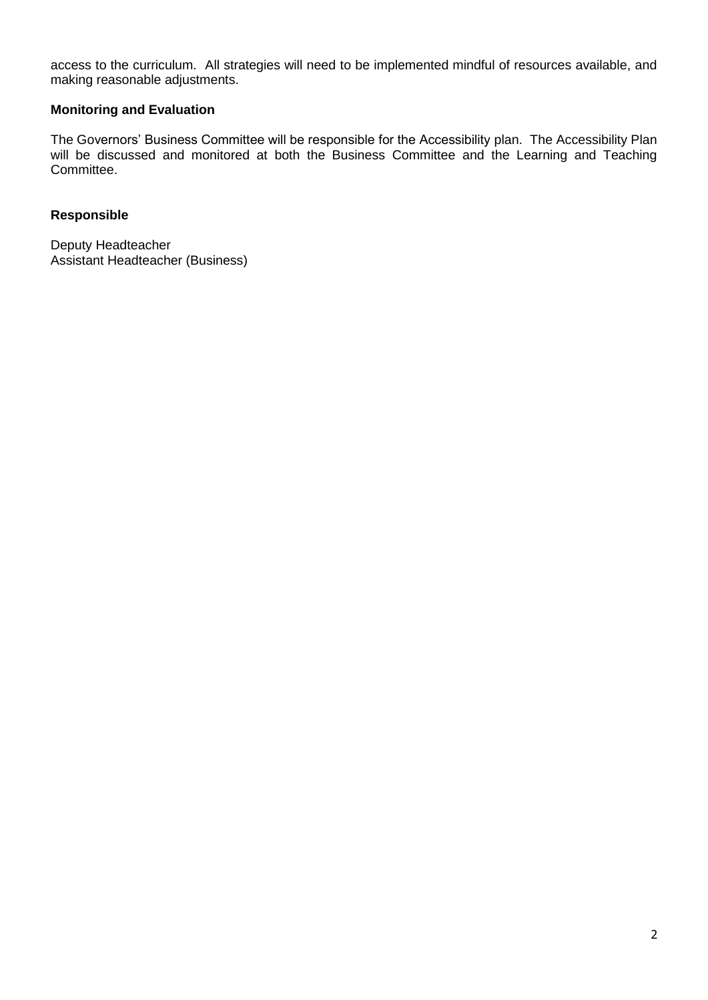access to the curriculum. All strategies will need to be implemented mindful of resources available, and making reasonable adjustments.

# **Monitoring and Evaluation**

The Governors' Business Committee will be responsible for the Accessibility plan. The Accessibility Plan will be discussed and monitored at both the Business Committee and the Learning and Teaching Committee.

### **Responsible**

Deputy Headteacher Assistant Headteacher (Business)